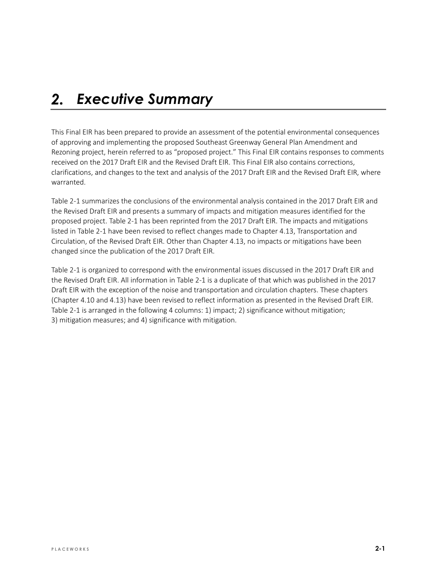#### *Executive Summary*  $2.$

This Final EIR has been prepared to provide an assessment of the potential environmental consequences of approving and implementing the proposed Southeast Greenway General Plan Amendment and Rezoning project, herein referred to as "proposed project." This Final EIR contains responses to comments received on the 2017 Draft EIR and the Revised Draft EIR. This Final EIR also contains corrections, clarifications, and changes to the text and analysis of the 2017 Draft EIR and the Revised Draft EIR, where warranted.

Table 2-1 summarizes the conclusions of the environmental analysis contained in the 2017 Draft EIR and the Revised Draft EIR and presents a summary of impacts and mitigation measures identified for the proposed project. Table 2-1 has been reprinted from the 2017 Draft EIR. The impacts and mitigations listed in Table 2-1 have been revised to reflect changes made to Chapter 4.13, Transportation and Circulation, of the Revised Draft EIR. Other than Chapter 4.13, no impacts or mitigations have been changed since the publication of the 2017 Draft EIR.

Table 2-1 is organized to correspond with the environmental issues discussed in the 2017 Draft EIR and the Revised Draft EIR. All information in Table 2-1 is a duplicate of that which was published in the 2017 Draft EIR with the exception of the noise and transportation and circulation chapters. These chapters (Chapter 4.10 and 4.13) have been revised to reflect information as presented in the Revised Draft EIR. Table 2-1 is arranged in the following 4 columns: 1) impact; 2) significance without mitigation; 3) mitigation measures; and 4) significance with mitigation.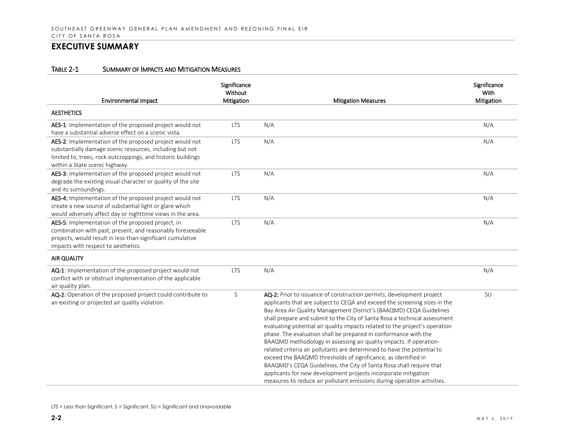| <b>Environmental Impact</b>                                                                                                                                                                                           | Significance<br>Without<br>Mitigation | <b>Mitigation Measures</b>                                                                                                                                                                                                                                                                                                                                                                                                                                                                                                                                                                                                                                                                                                                                                                                                                                                                     | Significance<br>With<br>Mitigation |
|-----------------------------------------------------------------------------------------------------------------------------------------------------------------------------------------------------------------------|---------------------------------------|------------------------------------------------------------------------------------------------------------------------------------------------------------------------------------------------------------------------------------------------------------------------------------------------------------------------------------------------------------------------------------------------------------------------------------------------------------------------------------------------------------------------------------------------------------------------------------------------------------------------------------------------------------------------------------------------------------------------------------------------------------------------------------------------------------------------------------------------------------------------------------------------|------------------------------------|
| <b>AESTHETICS</b>                                                                                                                                                                                                     |                                       |                                                                                                                                                                                                                                                                                                                                                                                                                                                                                                                                                                                                                                                                                                                                                                                                                                                                                                |                                    |
| AES-1: Implementation of the proposed project would not<br>have a substantial adverse effect on a scenic vista.                                                                                                       | <b>LTS</b>                            | N/A                                                                                                                                                                                                                                                                                                                                                                                                                                                                                                                                                                                                                                                                                                                                                                                                                                                                                            | N/A                                |
| AES-2: Implementation of the proposed project would not<br>substantially damage scenic resources, including but not<br>limited to, trees, rock outcroppings, and historic buildings<br>within a State scenic highway. | <b>LTS</b>                            | N/A                                                                                                                                                                                                                                                                                                                                                                                                                                                                                                                                                                                                                                                                                                                                                                                                                                                                                            | N/A                                |
| AES-3: Implementation of the proposed project would not<br>degrade the existing visual character or quality of the site<br>and its surroundings.                                                                      | <b>LTS</b>                            | N/A                                                                                                                                                                                                                                                                                                                                                                                                                                                                                                                                                                                                                                                                                                                                                                                                                                                                                            | N/A                                |
| AES-4: Implementation of the proposed project would not<br>create a new source of substantial light or glare which<br>would adversely affect day or nighttime views in the area.                                      | <b>LTS</b>                            | N/A                                                                                                                                                                                                                                                                                                                                                                                                                                                                                                                                                                                                                                                                                                                                                                                                                                                                                            | N/A                                |
| AES-5: Implementation of the proposed project, in<br>combination with past, present, and reasonably foreseeable<br>projects, would result in less-than-significant cumulative<br>impacts with respect to aesthetics.  | <b>LTS</b>                            | N/A                                                                                                                                                                                                                                                                                                                                                                                                                                                                                                                                                                                                                                                                                                                                                                                                                                                                                            | N/A                                |
| AIR QUALITY                                                                                                                                                                                                           |                                       |                                                                                                                                                                                                                                                                                                                                                                                                                                                                                                                                                                                                                                                                                                                                                                                                                                                                                                |                                    |
| AQ-1: Implementation of the proposed project would not<br>conflict with or obstruct implementation of the applicable<br>air quality plan.                                                                             | <b>LTS</b>                            | N/A                                                                                                                                                                                                                                                                                                                                                                                                                                                                                                                                                                                                                                                                                                                                                                                                                                                                                            | N/A                                |
| AQ-2: Operation of the proposed project could contribute to<br>an existing or projected air quality violation.                                                                                                        | S                                     | AQ-2: Prior to issuance of construction permits, development project<br>applicants that are subject to CEQA and exceed the screening sizes in the<br>Bay Area Air Quality Management District's (BAAQMD) CEQA Guidelines<br>shall prepare and submit to the City of Santa Rosa a technical assessment<br>evaluating potential air quality impacts related to the project's operation<br>phase. The evaluation shall be prepared in conformance with the<br>BAAQMD methodology in assessing air quality impacts. If operation-<br>related criteria air pollutants are determined to have the potential to<br>exceed the BAAQMD thresholds of significance, as identified in<br>BAAQMD's CEQA Guidelines, the City of Santa Rosa shall require that<br>applicants for new development projects incorporate mitigation<br>measures to reduce air pollutant emissions during operation activities. | SU                                 |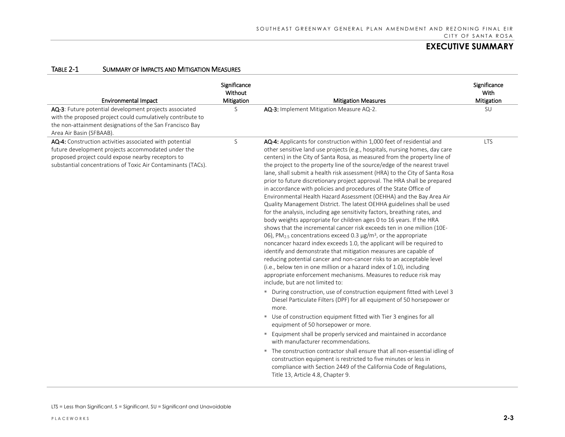| <b>Environmental Impact</b>                                                                                                                                                                                                        | Significance<br>Without<br>Mitigation | <b>Mitigation Measures</b>                                                                                                                                                                                                                                                                                                                                                                                                                                                                                                                                                                                                                                                                                                                                                                                                                                                                                                                                                                                                                                                                                                                                                                                                                                                                                                                                                                                                             | Significance<br>With<br>Mitigation |
|------------------------------------------------------------------------------------------------------------------------------------------------------------------------------------------------------------------------------------|---------------------------------------|----------------------------------------------------------------------------------------------------------------------------------------------------------------------------------------------------------------------------------------------------------------------------------------------------------------------------------------------------------------------------------------------------------------------------------------------------------------------------------------------------------------------------------------------------------------------------------------------------------------------------------------------------------------------------------------------------------------------------------------------------------------------------------------------------------------------------------------------------------------------------------------------------------------------------------------------------------------------------------------------------------------------------------------------------------------------------------------------------------------------------------------------------------------------------------------------------------------------------------------------------------------------------------------------------------------------------------------------------------------------------------------------------------------------------------------|------------------------------------|
| AQ-3: Future potential development projects associated<br>with the proposed project could cumulatively contribute to<br>the non-attainment designations of the San Francisco Bay<br>Area Air Basin (SFBAAB).                       | S                                     | AQ-3: Implement Mitigation Measure AQ-2.                                                                                                                                                                                                                                                                                                                                                                                                                                                                                                                                                                                                                                                                                                                                                                                                                                                                                                                                                                                                                                                                                                                                                                                                                                                                                                                                                                                               | SU                                 |
| AQ-4: Construction activities associated with potential<br>future development projects accommodated under the<br>proposed project could expose nearby receptors to<br>substantial concentrations of Toxic Air Contaminants (TACs). | S                                     | AQ-4: Applicants for construction within 1,000 feet of residential and<br>other sensitive land use projects (e.g., hospitals, nursing homes, day care<br>centers) in the City of Santa Rosa, as measured from the property line of<br>the project to the property line of the source/edge of the nearest travel<br>lane, shall submit a health risk assessment (HRA) to the City of Santa Rosa<br>prior to future discretionary project approval. The HRA shall be prepared<br>in accordance with policies and procedures of the State Office of<br>Environmental Health Hazard Assessment (OEHHA) and the Bay Area Air<br>Quality Management District. The latest OEHHA guidelines shall be used<br>for the analysis, including age sensitivity factors, breathing rates, and<br>body weights appropriate for children ages 0 to 16 years. If the HRA<br>shows that the incremental cancer risk exceeds ten in one million (10E-<br>06), PM <sub>2.5</sub> concentrations exceed 0.3 $\mu$ g/m <sup>3</sup> , or the appropriate<br>noncancer hazard index exceeds 1.0, the applicant will be required to<br>identify and demonstrate that mitigation measures are capable of<br>reducing potential cancer and non-cancer risks to an acceptable level<br>(i.e., below ten in one million or a hazard index of 1.0), including<br>appropriate enforcement mechanisms. Measures to reduce risk may<br>include, but are not limited to: | <b>LTS</b>                         |
|                                                                                                                                                                                                                                    |                                       | ■ During construction, use of construction equipment fitted with Level 3<br>Diesel Particulate Filters (DPF) for all equipment of 50 horsepower or<br>more.<br>" Use of construction equipment fitted with Tier 3 engines for all                                                                                                                                                                                                                                                                                                                                                                                                                                                                                                                                                                                                                                                                                                                                                                                                                                                                                                                                                                                                                                                                                                                                                                                                      |                                    |
|                                                                                                                                                                                                                                    |                                       | equipment of 50 horsepower or more.                                                                                                                                                                                                                                                                                                                                                                                                                                                                                                                                                                                                                                                                                                                                                                                                                                                                                                                                                                                                                                                                                                                                                                                                                                                                                                                                                                                                    |                                    |
|                                                                                                                                                                                                                                    |                                       | " Equipment shall be properly serviced and maintained in accordance<br>with manufacturer recommendations.                                                                                                                                                                                                                                                                                                                                                                                                                                                                                                                                                                                                                                                                                                                                                                                                                                                                                                                                                                                                                                                                                                                                                                                                                                                                                                                              |                                    |
|                                                                                                                                                                                                                                    |                                       | " The construction contractor shall ensure that all non-essential idling of<br>construction equipment is restricted to five minutes or less in<br>compliance with Section 2449 of the California Code of Regulations,<br>Title 13, Article 4.8, Chapter 9.                                                                                                                                                                                                                                                                                                                                                                                                                                                                                                                                                                                                                                                                                                                                                                                                                                                                                                                                                                                                                                                                                                                                                                             |                                    |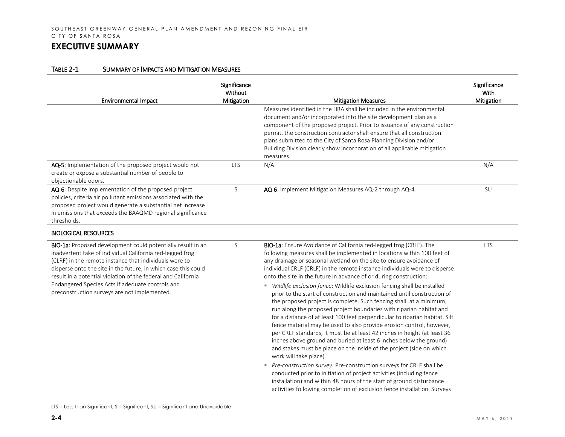| TABLE 2-1 | <b>SUMMARY OF IMPACTS AND MITIGATION MEASURES</b> |
|-----------|---------------------------------------------------|
|           |                                                   |

| Environmental Impact                                                                                                                                                                                                                                                                                                                                                                                                      | Significance<br>Without<br>Mitigation | <b>Mitigation Measures</b>                                                                                                                                                                                                                                                                                                                                                                                                                                                                                                                                                                                                                                                                                                                                                                                                                                                                                                                                                                                                                                                               | Significance<br>With<br>Mitigation |
|---------------------------------------------------------------------------------------------------------------------------------------------------------------------------------------------------------------------------------------------------------------------------------------------------------------------------------------------------------------------------------------------------------------------------|---------------------------------------|------------------------------------------------------------------------------------------------------------------------------------------------------------------------------------------------------------------------------------------------------------------------------------------------------------------------------------------------------------------------------------------------------------------------------------------------------------------------------------------------------------------------------------------------------------------------------------------------------------------------------------------------------------------------------------------------------------------------------------------------------------------------------------------------------------------------------------------------------------------------------------------------------------------------------------------------------------------------------------------------------------------------------------------------------------------------------------------|------------------------------------|
|                                                                                                                                                                                                                                                                                                                                                                                                                           |                                       | Measures identified in the HRA shall be included in the environmental<br>document and/or incorporated into the site development plan as a<br>component of the proposed project. Prior to issuance of any construction<br>permit, the construction contractor shall ensure that all construction<br>plans submitted to the City of Santa Rosa Planning Division and/or<br>Building Division clearly show incorporation of all applicable mitigation<br>measures.                                                                                                                                                                                                                                                                                                                                                                                                                                                                                                                                                                                                                          |                                    |
| AQ-5: Implementation of the proposed project would not<br>create or expose a substantial number of people to<br>objectionable odors.                                                                                                                                                                                                                                                                                      | <b>LTS</b>                            | N/A                                                                                                                                                                                                                                                                                                                                                                                                                                                                                                                                                                                                                                                                                                                                                                                                                                                                                                                                                                                                                                                                                      | N/A                                |
| AQ-6: Despite implementation of the proposed project<br>policies, criteria air pollutant emissions associated with the<br>proposed project would generate a substantial net increase<br>in emissions that exceeds the BAAQMD regional significance<br>thresholds.                                                                                                                                                         | S                                     | AQ-6: Implement Mitigation Measures AQ-2 through AQ-4.                                                                                                                                                                                                                                                                                                                                                                                                                                                                                                                                                                                                                                                                                                                                                                                                                                                                                                                                                                                                                                   | SU                                 |
| <b>BIOLOGICAL RESOURCES</b>                                                                                                                                                                                                                                                                                                                                                                                               |                                       |                                                                                                                                                                                                                                                                                                                                                                                                                                                                                                                                                                                                                                                                                                                                                                                                                                                                                                                                                                                                                                                                                          |                                    |
| BIO-1a: Proposed development could potentially result in an<br>inadvertent take of individual California red-legged frog<br>(CLRF) in the remote instance that individuals were to<br>disperse onto the site in the future, in which case this could<br>result in a potential violation of the federal and California<br>Endangered Species Acts if adequate controls and<br>preconstruction surveys are not implemented. | S                                     | BIO-1a: Ensure Avoidance of California red-legged frog (CRLF). The<br>following measures shall be implemented in locations within 100 feet of<br>any drainage or seasonal wetland on the site to ensure avoidance of<br>individual CRLF (CRLF) in the remote instance individuals were to disperse<br>onto the site in the future in advance of or during construction:<br>" Wildlife exclusion fence: Wildlife exclusion fencing shall be installed<br>prior to the start of construction and maintained until construction of<br>the proposed project is complete. Such fencing shall, at a minimum,<br>run along the proposed project boundaries with riparian habitat and<br>for a distance of at least 100 feet perpendicular to riparian habitat. Silt<br>fence material may be used to also provide erosion control, however,<br>per CRLF standards, it must be at least 42 inches in height (at least 36<br>inches above ground and buried at least 6 inches below the ground)<br>and stakes must be place on the inside of the project (side on which<br>work will take place). | <b>LTS</b>                         |
|                                                                                                                                                                                                                                                                                                                                                                                                                           |                                       | Pre-construction survey: Pre-construction surveys for CRLF shall be<br>conducted prior to initiation of project activities (including fence<br>installation) and within 48 hours of the start of ground disturbance<br>activities following completion of exclusion fence installation. Surveys                                                                                                                                                                                                                                                                                                                                                                                                                                                                                                                                                                                                                                                                                                                                                                                          |                                    |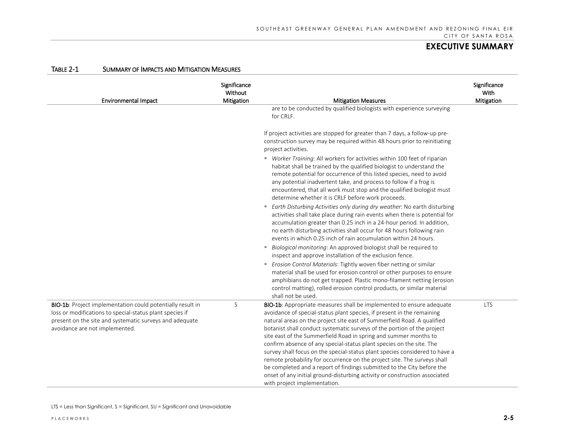| <b>Environmental Impact</b>                                                                                                                                                                                                | Significance<br>Without<br>Mitigation | <b>Mitigation Measures</b>                                                                                                                                                                                                                                                                                                                                                                                                                                                                                                                                                                                                                                                                                                                                                                          | Significance<br>With<br>Mitigation |
|----------------------------------------------------------------------------------------------------------------------------------------------------------------------------------------------------------------------------|---------------------------------------|-----------------------------------------------------------------------------------------------------------------------------------------------------------------------------------------------------------------------------------------------------------------------------------------------------------------------------------------------------------------------------------------------------------------------------------------------------------------------------------------------------------------------------------------------------------------------------------------------------------------------------------------------------------------------------------------------------------------------------------------------------------------------------------------------------|------------------------------------|
|                                                                                                                                                                                                                            |                                       | are to be conducted by qualified biologists with experience surveying<br>for CRLF.                                                                                                                                                                                                                                                                                                                                                                                                                                                                                                                                                                                                                                                                                                                  |                                    |
|                                                                                                                                                                                                                            |                                       | If project activities are stopped for greater than 7 days, a follow-up pre-<br>construction survey may be required within 48 hours prior to reinitiating<br>project activities.                                                                                                                                                                                                                                                                                                                                                                                                                                                                                                                                                                                                                     |                                    |
|                                                                                                                                                                                                                            |                                       | " Worker Training: All workers for activities within 100 feet of riparian<br>habitat shall be trained by the qualified biologist to understand the<br>remote potential for occurrence of this listed species, need to avoid<br>any potential inadvertent take, and process to follow if a frog is<br>encountered, that all work must stop and the qualified biologist must<br>determine whether it is CRLF before work proceeds.                                                                                                                                                                                                                                                                                                                                                                    |                                    |
|                                                                                                                                                                                                                            |                                       | Earth Disturbing Activities only during dry weather: No earth disturbing<br>activities shall take place during rain events when there is potential for<br>accumulation greater than 0.25 inch in a 24-hour period. In addition,<br>no earth disturbing activities shall occur for 48 hours following rain<br>events in which 0.25 inch of rain accumulation within 24 hours.                                                                                                                                                                                                                                                                                                                                                                                                                        |                                    |
|                                                                                                                                                                                                                            |                                       | Biological monitoring: An approved biologist shall be required to<br>inspect and approve installation of the exclusion fence.                                                                                                                                                                                                                                                                                                                                                                                                                                                                                                                                                                                                                                                                       |                                    |
|                                                                                                                                                                                                                            |                                       | Erosion Control Materials: Tightly woven fiber netting or similar<br>material shall be used for erosion control or other purposes to ensure<br>amphibians do not get trapped. Plastic mono-filament netting (erosion<br>control matting), rolled erosion control products, or similar material<br>shall not be used.                                                                                                                                                                                                                                                                                                                                                                                                                                                                                |                                    |
| <b>BIO-1b:</b> Project implementation could potentially result in<br>loss or modifications to special-status plant species if<br>present on the site and systematic surveys and adequate<br>avoidance are not implemented. | S                                     | BIO-1b: Appropriate measures shall be implemented to ensure adequate<br>avoidance of special-status plant species, if present in the remaining<br>natural areas on the project site east of Summerfield Road. A qualified<br>botanist shall conduct systematic surveys of the portion of the project<br>site east of the Summerfield Road in spring and summer months to<br>confirm absence of any special-status plant species on the site. The<br>survey shall focus on the special-status plant species considered to have a<br>remote probability for occurrence on the project site. The surveys shall<br>be completed and a report of findings submitted to the City before the<br>onset of any initial ground-disturbing activity or construction associated<br>with project implementation. | <b>LTS</b>                         |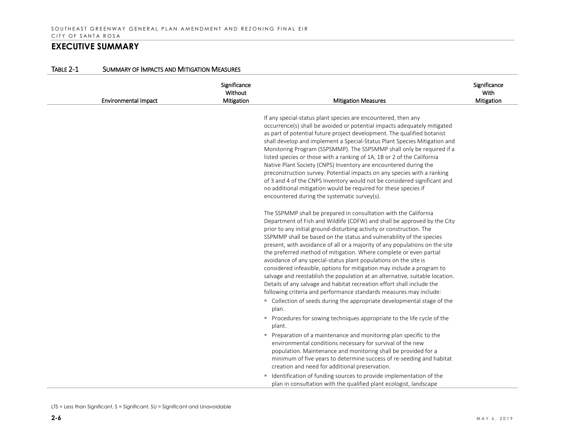| TABLE 2-1 | SUMMARY OF IMPACTS AND MITIGATION MEASURES |
|-----------|--------------------------------------------|
|           |                                            |

| <b>Environmental Impact</b> | Significance<br>Without<br>Mitigation | <b>Mitigation Measures</b>                                                                                                                                                                                                                                                                                                                                                                                                                                                                                                                                                                                                                                                                                                                                                                                                                                                      | Significance<br>With<br><b>Mitigation</b> |
|-----------------------------|---------------------------------------|---------------------------------------------------------------------------------------------------------------------------------------------------------------------------------------------------------------------------------------------------------------------------------------------------------------------------------------------------------------------------------------------------------------------------------------------------------------------------------------------------------------------------------------------------------------------------------------------------------------------------------------------------------------------------------------------------------------------------------------------------------------------------------------------------------------------------------------------------------------------------------|-------------------------------------------|
|                             |                                       | If any special-status plant species are encountered, then any<br>occurrence(s) shall be avoided or potential impacts adequately mitigated<br>as part of potential future project development. The qualified botanist<br>shall develop and implement a Special-Status Plant Species Mitigation and<br>Monitoring Program (SSPSMMP). The SSPSMMP shall only be required if a<br>listed species or those with a ranking of 1A, 1B or 2 of the California<br>Native Plant Society (CNPS) Inventory are encountered during the<br>preconstruction survey. Potential impacts on any species with a ranking<br>of 3 and 4 of the CNPS Inventory would not be considered significant and<br>no additional mitigation would be required for these species if                                                                                                                             |                                           |
|                             |                                       | encountered during the systematic survey(s).<br>The SSPMMP shall be prepared in consultation with the California<br>Department of Fish and Wildlife (CDFW) and shall be approved by the City<br>prior to any initial ground-disturbing activity or construction. The<br>SSPMMP shall be based on the status and vulnerability of the species<br>present, with avoidance of all or a majority of any populations on the site<br>the preferred method of mitigation. Where complete or even partial<br>avoidance of any special-status plant populations on the site is<br>considered infeasible, options for mitigation may include a program to<br>salvage and reestablish the population at an alternative, suitable location.<br>Details of any salvage and habitat recreation effort shall include the<br>following criteria and performance standards measures may include: |                                           |
|                             |                                       | • Collection of seeds during the appropriate developmental stage of the<br>plan.<br>Procedures for sowing techniques appropriate to the life cycle of the<br>plant.<br>Preparation of a maintenance and monitoring plan specific to the<br>environmental conditions necessary for survival of the new<br>population. Maintenance and monitoring shall be provided for a<br>minimum of five years to determine success of re-seeding and habitat<br>creation and need for additional preservation.<br>" Identification of funding sources to provide implementation of the<br>plan in consultation with the qualified plant ecologist, landscape                                                                                                                                                                                                                                 |                                           |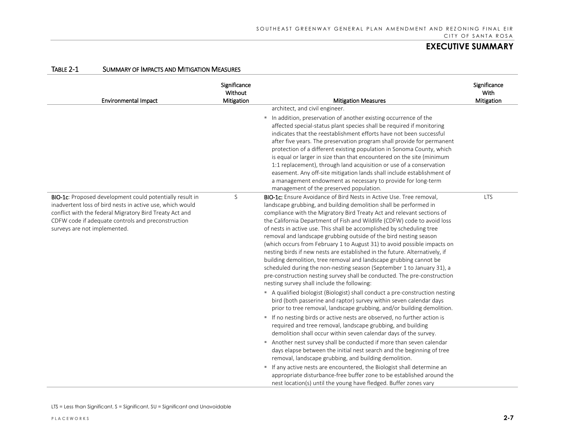| <b>TABLE 2-1</b> | SUMMARY OF IMPACTS AND MITIGATION MEASURES |
|------------------|--------------------------------------------|
|                  |                                            |

| <b>Environmental Impact</b>                                                                                                                                                                                                                                                   | Significance<br>Without<br>Mitigation | <b>Mitigation Measures</b>                                                                                                                                                                                                                                                                                                                                                                                                                                                                                                                                                                                                                                                                                                                                                                                                                                                                                                                                                                                                                                                                                                                                                                                                                                                                                                                                                                                                                                                                                                                                                                                                                                                                                                                                           | Significance<br>With<br>Mitigation |
|-------------------------------------------------------------------------------------------------------------------------------------------------------------------------------------------------------------------------------------------------------------------------------|---------------------------------------|----------------------------------------------------------------------------------------------------------------------------------------------------------------------------------------------------------------------------------------------------------------------------------------------------------------------------------------------------------------------------------------------------------------------------------------------------------------------------------------------------------------------------------------------------------------------------------------------------------------------------------------------------------------------------------------------------------------------------------------------------------------------------------------------------------------------------------------------------------------------------------------------------------------------------------------------------------------------------------------------------------------------------------------------------------------------------------------------------------------------------------------------------------------------------------------------------------------------------------------------------------------------------------------------------------------------------------------------------------------------------------------------------------------------------------------------------------------------------------------------------------------------------------------------------------------------------------------------------------------------------------------------------------------------------------------------------------------------------------------------------------------------|------------------------------------|
|                                                                                                                                                                                                                                                                               |                                       | architect, and civil engineer.<br>In addition, preservation of another existing occurrence of the<br>affected special-status plant species shall be required if monitoring<br>indicates that the reestablishment efforts have not been successful<br>after five years. The preservation program shall provide for permanent<br>protection of a different existing population in Sonoma County, which<br>is equal or larger in size than that encountered on the site (minimum<br>1:1 replacement), through land acquisition or use of a conservation<br>easement. Any off-site mitigation lands shall include establishment of<br>a management endowment as necessary to provide for long-term<br>management of the preserved population.                                                                                                                                                                                                                                                                                                                                                                                                                                                                                                                                                                                                                                                                                                                                                                                                                                                                                                                                                                                                                            |                                    |
| <b>BIO-1c:</b> Proposed development could potentially result in<br>inadvertent loss of bird nests in active use, which would<br>conflict with the federal Migratory Bird Treaty Act and<br>CDFW code if adequate controls and preconstruction<br>surveys are not implemented. | S                                     | <b>BIO-1c:</b> Ensure Avoidance of Bird Nests in Active Use. Tree removal,<br>landscape grubbing, and building demolition shall be performed in<br>compliance with the Migratory Bird Treaty Act and relevant sections of<br>the California Department of Fish and Wildlife (CDFW) code to avoid loss<br>of nests in active use. This shall be accomplished by scheduling tree<br>removal and landscape grubbing outside of the bird nesting season<br>(which occurs from February 1 to August 31) to avoid possible impacts on<br>nesting birds if new nests are established in the future. Alternatively, if<br>building demolition, tree removal and landscape grubbing cannot be<br>scheduled during the non-nesting season (September 1 to January 31), a<br>pre-construction nesting survey shall be conducted. The pre-construction<br>nesting survey shall include the following:<br>A qualified biologist (Biologist) shall conduct a pre-construction nesting<br>bird (both passerine and raptor) survey within seven calendar days<br>prior to tree removal, landscape grubbing, and/or building demolition.<br>" If no nesting birds or active nests are observed, no further action is<br>required and tree removal, landscape grubbing, and building<br>demolition shall occur within seven calendar days of the survey.<br>Another nest survey shall be conducted if more than seven calendar<br>days elapse between the initial nest search and the beginning of tree<br>removal, landscape grubbing, and building demolition.<br>If any active nests are encountered, the Biologist shall determine an<br>appropriate disturbance-free buffer zone to be established around the<br>nest location(s) until the young have fledged. Buffer zones vary | <b>LTS</b>                         |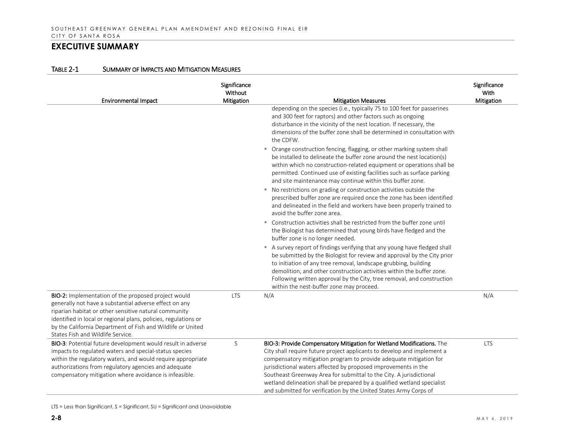| Environmental Impact                                                                                                                                                                                                                                                                                                                          | Significance<br>Without<br>Mitigation | <b>Mitigation Measures</b>                                                                                                                                                                                                                                                                                                                                                                                                                                                                                      | Significance<br>With<br>Mitigation |
|-----------------------------------------------------------------------------------------------------------------------------------------------------------------------------------------------------------------------------------------------------------------------------------------------------------------------------------------------|---------------------------------------|-----------------------------------------------------------------------------------------------------------------------------------------------------------------------------------------------------------------------------------------------------------------------------------------------------------------------------------------------------------------------------------------------------------------------------------------------------------------------------------------------------------------|------------------------------------|
|                                                                                                                                                                                                                                                                                                                                               |                                       | depending on the species (i.e., typically 75 to 100 feet for passerines<br>and 300 feet for raptors) and other factors such as ongoing<br>disturbance in the vicinity of the nest location. If necessary, the<br>dimensions of the buffer zone shall be determined in consultation with<br>the CDFW.                                                                                                                                                                                                            |                                    |
|                                                                                                                                                                                                                                                                                                                                               |                                       | • Orange construction fencing, flagging, or other marking system shall<br>be installed to delineate the buffer zone around the nest location(s)<br>within which no construction-related equipment or operations shall be<br>permitted. Continued use of existing facilities such as surface parking<br>and site maintenance may continue within this buffer zone.                                                                                                                                               |                                    |
|                                                                                                                                                                                                                                                                                                                                               |                                       | " No restrictions on grading or construction activities outside the<br>prescribed buffer zone are required once the zone has been identified<br>and delineated in the field and workers have been properly trained to<br>avoid the buffer zone area.                                                                                                                                                                                                                                                            |                                    |
|                                                                                                                                                                                                                                                                                                                                               |                                       | ■ Construction activities shall be restricted from the buffer zone until<br>the Biologist has determined that young birds have fledged and the<br>buffer zone is no longer needed.                                                                                                                                                                                                                                                                                                                              |                                    |
|                                                                                                                                                                                                                                                                                                                                               |                                       | A survey report of findings verifying that any young have fledged shall<br>be submitted by the Biologist for review and approval by the City prior<br>to initiation of any tree removal, landscape grubbing, building<br>demolition, and other construction activities within the buffer zone.<br>Following written approval by the City, tree removal, and construction<br>within the nest-buffer zone may proceed.                                                                                            |                                    |
| BIO-2: Implementation of the proposed project would<br>generally not have a substantial adverse effect on any<br>riparian habitat or other sensitive natural community<br>identified in local or regional plans, policies, regulations or<br>by the California Department of Fish and Wildlife or United<br>States Fish and Wildlife Service. | <b>LTS</b>                            | N/A                                                                                                                                                                                                                                                                                                                                                                                                                                                                                                             | N/A                                |
| BIO-3: Potential future development would result in adverse<br>impacts to regulated waters and special-status species<br>within the regulatory waters, and would require appropriate<br>authorizations from regulatory agencies and adequate<br>compensatory mitigation where avoidance is infeasible.                                        | S                                     | BIO-3: Provide Compensatory Mitigation for Wetland Modifications. The<br>City shall require future project applicants to develop and implement a<br>compensatory mitigation program to provide adequate mitigation for<br>jurisdictional waters affected by proposed improvements in the<br>Southeast Greenway Area for submittal to the City. A jurisdictional<br>wetland delineation shall be prepared by a qualified wetland specialist<br>and submitted for verification by the United States Army Corps of | <b>LTS</b>                         |

#### TABLE 2-1 SUMMARY OF IMPACTS AND MITIGATION MEASURES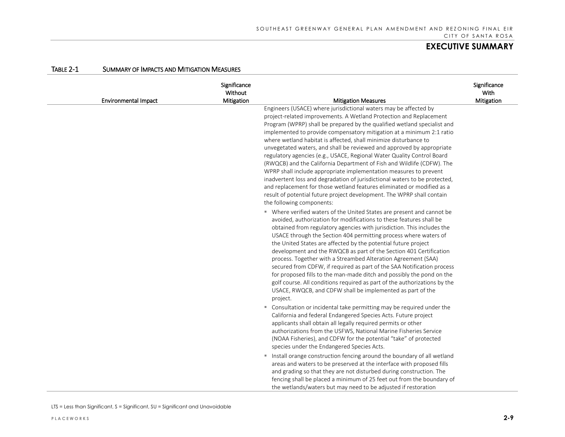| <b>Environmental Impact</b> | Significance<br>Without<br>Mitigation | <b>Mitigation Measures</b>                                                                                                                                                                                                                                                                                                                                                                                                                                                                                                                                                                                                                                                                                                                                                                                                                                                                                                                                                                                                                                                                                                                                                                                                                                                                                                                                                                                                                                                                                                                                                                                                                                                                                                                                                                                                                                                                                                                                                                                                                                                                                                                                                                                                                                                                                                                                                                                                                               | Significance<br>With<br>Mitigation |
|-----------------------------|---------------------------------------|----------------------------------------------------------------------------------------------------------------------------------------------------------------------------------------------------------------------------------------------------------------------------------------------------------------------------------------------------------------------------------------------------------------------------------------------------------------------------------------------------------------------------------------------------------------------------------------------------------------------------------------------------------------------------------------------------------------------------------------------------------------------------------------------------------------------------------------------------------------------------------------------------------------------------------------------------------------------------------------------------------------------------------------------------------------------------------------------------------------------------------------------------------------------------------------------------------------------------------------------------------------------------------------------------------------------------------------------------------------------------------------------------------------------------------------------------------------------------------------------------------------------------------------------------------------------------------------------------------------------------------------------------------------------------------------------------------------------------------------------------------------------------------------------------------------------------------------------------------------------------------------------------------------------------------------------------------------------------------------------------------------------------------------------------------------------------------------------------------------------------------------------------------------------------------------------------------------------------------------------------------------------------------------------------------------------------------------------------------------------------------------------------------------------------------------------------------|------------------------------------|
|                             |                                       | Engineers (USACE) where jurisdictional waters may be affected by<br>project-related improvements. A Wetland Protection and Replacement<br>Program (WPRP) shall be prepared by the qualified wetland specialist and<br>implemented to provide compensatory mitigation at a minimum 2:1 ratio<br>where wetland habitat is affected, shall minimize disturbance to<br>unvegetated waters, and shall be reviewed and approved by appropriate<br>regulatory agencies (e.g., USACE, Regional Water Quality Control Board<br>(RWQCB) and the California Department of Fish and Wildlife (CDFW). The<br>WPRP shall include appropriate implementation measures to prevent<br>inadvertent loss and degradation of jurisdictional waters to be protected,<br>and replacement for those wetland features eliminated or modified as a<br>result of potential future project development. The WPRP shall contain<br>the following components:<br>" Where verified waters of the United States are present and cannot be<br>avoided, authorization for modifications to these features shall be<br>obtained from regulatory agencies with jurisdiction. This includes the<br>USACE through the Section 404 permitting process where waters of<br>the United States are affected by the potential future project<br>development and the RWQCB as part of the Section 401 Certification<br>process. Together with a Streambed Alteration Agreement (SAA)<br>secured from CDFW, if required as part of the SAA Notification process<br>for proposed fills to the man-made ditch and possibly the pond on the<br>golf course. All conditions required as part of the authorizations by the<br>USACE, RWQCB, and CDFW shall be implemented as part of the<br>project.<br>" Consultation or incidental take permitting may be required under the<br>California and federal Endangered Species Acts. Future project<br>applicants shall obtain all legally required permits or other<br>authorizations from the USFWS, National Marine Fisheries Service<br>(NOAA Fisheries), and CDFW for the potential "take" of protected<br>species under the Endangered Species Acts.<br>Install orange construction fencing around the boundary of all wetland<br>areas and waters to be preserved at the interface with proposed fills<br>and grading so that they are not disturbed during construction. The<br>fencing shall be placed a minimum of 25 feet out from the boundary of |                                    |
|                             |                                       | the wetlands/waters but may need to be adjusted if restoration                                                                                                                                                                                                                                                                                                                                                                                                                                                                                                                                                                                                                                                                                                                                                                                                                                                                                                                                                                                                                                                                                                                                                                                                                                                                                                                                                                                                                                                                                                                                                                                                                                                                                                                                                                                                                                                                                                                                                                                                                                                                                                                                                                                                                                                                                                                                                                                           |                                    |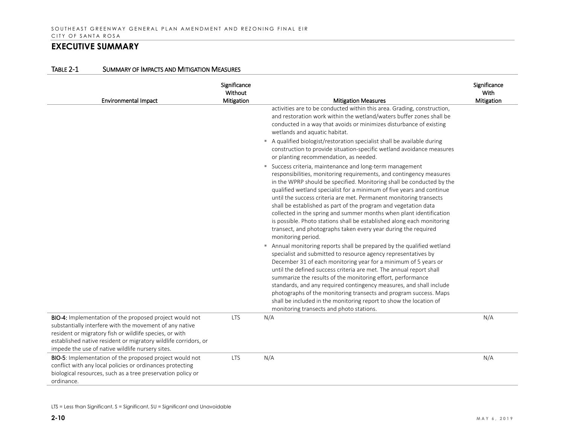| <b>Environmental Impact</b>                                                                                                                                                                                                                                                                          | Significance<br>Without<br>Mitigation | <b>Mitigation Measures</b>                                                                                                                                                                                                                                                                                                                                                                                                                                                                                                                                                                                                                                          | Significance<br>With<br>Mitigation |
|------------------------------------------------------------------------------------------------------------------------------------------------------------------------------------------------------------------------------------------------------------------------------------------------------|---------------------------------------|---------------------------------------------------------------------------------------------------------------------------------------------------------------------------------------------------------------------------------------------------------------------------------------------------------------------------------------------------------------------------------------------------------------------------------------------------------------------------------------------------------------------------------------------------------------------------------------------------------------------------------------------------------------------|------------------------------------|
|                                                                                                                                                                                                                                                                                                      |                                       | activities are to be conducted within this area. Grading, construction,<br>and restoration work within the wetland/waters buffer zones shall be<br>conducted in a way that avoids or minimizes disturbance of existing<br>wetlands and aquatic habitat.                                                                                                                                                                                                                                                                                                                                                                                                             |                                    |
|                                                                                                                                                                                                                                                                                                      |                                       | A qualified biologist/restoration specialist shall be available during<br>construction to provide situation-specific wetland avoidance measures<br>or planting recommendation, as needed.                                                                                                                                                                                                                                                                                                                                                                                                                                                                           |                                    |
|                                                                                                                                                                                                                                                                                                      |                                       | " Success criteria, maintenance and long-term management<br>responsibilities, monitoring requirements, and contingency measures<br>in the WPRP should be specified. Monitoring shall be conducted by the<br>qualified wetland specialist for a minimum of five years and continue<br>until the success criteria are met. Permanent monitoring transects<br>shall be established as part of the program and vegetation data<br>collected in the spring and summer months when plant identification<br>is possible. Photo stations shall be established along each monitoring<br>transect, and photographs taken every year during the required<br>monitoring period. |                                    |
|                                                                                                                                                                                                                                                                                                      |                                       | Annual monitoring reports shall be prepared by the qualified wetland<br>ш<br>specialist and submitted to resource agency representatives by<br>December 31 of each monitoring year for a minimum of 5 years or<br>until the defined success criteria are met. The annual report shall<br>summarize the results of the monitoring effort, performance<br>standards, and any required contingency measures, and shall include<br>photographs of the monitoring transects and program success. Maps<br>shall be included in the monitoring report to show the location of<br>monitoring transects and photo stations.                                                  |                                    |
| BIO-4: Implementation of the proposed project would not<br>substantially interfere with the movement of any native<br>resident or migratory fish or wildlife species, or with<br>established native resident or migratory wildlife corridors, or<br>impede the use of native wildlife nursery sites. | <b>LTS</b>                            | N/A                                                                                                                                                                                                                                                                                                                                                                                                                                                                                                                                                                                                                                                                 | N/A                                |
| BIO-5: Implementation of the proposed project would not<br>conflict with any local policies or ordinances protecting<br>biological resources, such as a tree preservation policy or<br>ordinance.                                                                                                    | <b>LTS</b>                            | N/A                                                                                                                                                                                                                                                                                                                                                                                                                                                                                                                                                                                                                                                                 | N/A                                |

LTS = Less than Significant, S = Significant, SU = Significant and Unavoidable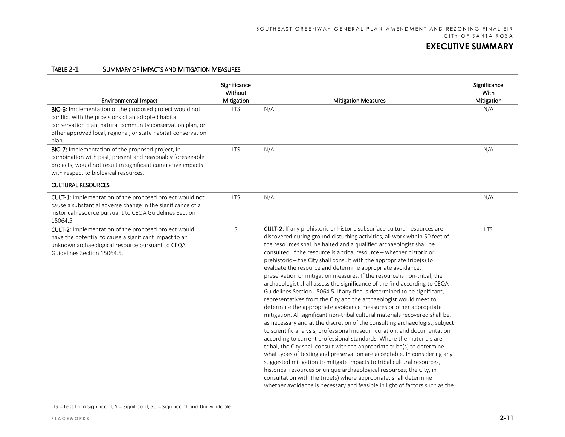| <b>Environmental Impact</b>                                                                                                                                                                                                                           | Significance<br>Without<br>Mitigation | <b>Mitigation Measures</b>                                                                                                                                                                                                                                                                                                                                                                                                                                                                                                                                                                                                                                                                                                                                                                                                                                                                                                                                                                                                                                                                                                                                                                                                                                                                                                                                                                                                                                                                                                                                                                                              | Significance<br>With<br>Mitigation |
|-------------------------------------------------------------------------------------------------------------------------------------------------------------------------------------------------------------------------------------------------------|---------------------------------------|-------------------------------------------------------------------------------------------------------------------------------------------------------------------------------------------------------------------------------------------------------------------------------------------------------------------------------------------------------------------------------------------------------------------------------------------------------------------------------------------------------------------------------------------------------------------------------------------------------------------------------------------------------------------------------------------------------------------------------------------------------------------------------------------------------------------------------------------------------------------------------------------------------------------------------------------------------------------------------------------------------------------------------------------------------------------------------------------------------------------------------------------------------------------------------------------------------------------------------------------------------------------------------------------------------------------------------------------------------------------------------------------------------------------------------------------------------------------------------------------------------------------------------------------------------------------------------------------------------------------------|------------------------------------|
| BIO-6: Implementation of the proposed project would not<br>conflict with the provisions of an adopted habitat<br>conservation plan, natural community conservation plan, or<br>other approved local, regional, or state habitat conservation<br>plan. | LTS                                   | N/A                                                                                                                                                                                                                                                                                                                                                                                                                                                                                                                                                                                                                                                                                                                                                                                                                                                                                                                                                                                                                                                                                                                                                                                                                                                                                                                                                                                                                                                                                                                                                                                                                     | N/A                                |
| BIO-7: Implementation of the proposed project, in<br>combination with past, present and reasonably foreseeable<br>projects, would not result in significant cumulative impacts<br>with respect to biological resources.                               | <b>LTS</b>                            | N/A                                                                                                                                                                                                                                                                                                                                                                                                                                                                                                                                                                                                                                                                                                                                                                                                                                                                                                                                                                                                                                                                                                                                                                                                                                                                                                                                                                                                                                                                                                                                                                                                                     | N/A                                |
| <b>CULTURAL RESOURCES</b>                                                                                                                                                                                                                             |                                       |                                                                                                                                                                                                                                                                                                                                                                                                                                                                                                                                                                                                                                                                                                                                                                                                                                                                                                                                                                                                                                                                                                                                                                                                                                                                                                                                                                                                                                                                                                                                                                                                                         |                                    |
| CULT-1: Implementation of the proposed project would not<br>cause a substantial adverse change in the significance of a<br>historical resource pursuant to CEQA Guidelines Section<br>15064.5.                                                        | <b>LTS</b>                            | N/A                                                                                                                                                                                                                                                                                                                                                                                                                                                                                                                                                                                                                                                                                                                                                                                                                                                                                                                                                                                                                                                                                                                                                                                                                                                                                                                                                                                                                                                                                                                                                                                                                     | N/A                                |
| CULT-2: Implementation of the proposed project would<br>have the potential to cause a significant impact to an<br>unknown archaeological resource pursuant to CEQA<br>Guidelines Section 15064.5.                                                     | S                                     | <b>CULT-2:</b> If any prehistoric or historic subsurface cultural resources are<br>discovered during ground disturbing activities, all work within 50 feet of<br>the resources shall be halted and a qualified archaeologist shall be<br>consulted. If the resource is a tribal resource – whether historic or<br>prehistoric - the City shall consult with the appropriate tribe(s) to<br>evaluate the resource and determine appropriate avoidance,<br>preservation or mitigation measures. If the resource is non-tribal, the<br>archaeologist shall assess the significance of the find according to CEQA<br>Guidelines Section 15064.5. If any find is determined to be significant,<br>representatives from the City and the archaeologist would meet to<br>determine the appropriate avoidance measures or other appropriate<br>mitigation. All significant non-tribal cultural materials recovered shall be,<br>as necessary and at the discretion of the consulting archaeologist, subject<br>to scientific analysis, professional museum curation, and documentation<br>according to current professional standards. Where the materials are<br>tribal, the City shall consult with the appropriate tribe(s) to determine<br>what types of testing and preservation are acceptable. In considering any<br>suggested mitigation to mitigate impacts to tribal cultural resources,<br>historical resources or unique archaeological resources, the City, in<br>consultation with the tribe(s) where appropriate, shall determine<br>whether avoidance is necessary and feasible in light of factors such as the | <b>LTS</b>                         |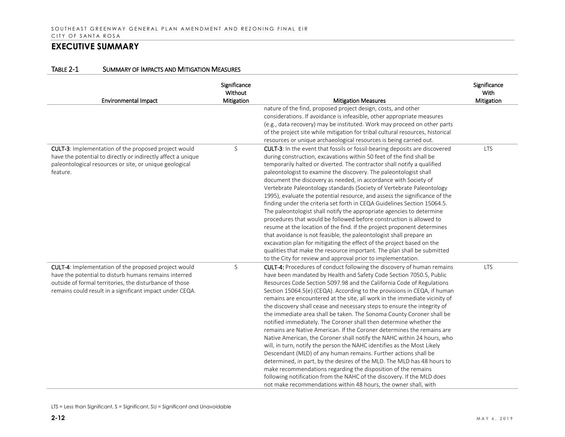| <b>Environmental Impact</b>                                                                                                                                                                                                          | Significance<br>Without<br>Mitigation | <b>Mitigation Measures</b>                                                                                                                                                                                                                                                                                                                                                                                                                                                                                                                                                                                                                                                                                                                                                                                                                                                                                                                                                                                                                                                                                                                                                                              | Significance<br>With<br>Mitigation |
|--------------------------------------------------------------------------------------------------------------------------------------------------------------------------------------------------------------------------------------|---------------------------------------|---------------------------------------------------------------------------------------------------------------------------------------------------------------------------------------------------------------------------------------------------------------------------------------------------------------------------------------------------------------------------------------------------------------------------------------------------------------------------------------------------------------------------------------------------------------------------------------------------------------------------------------------------------------------------------------------------------------------------------------------------------------------------------------------------------------------------------------------------------------------------------------------------------------------------------------------------------------------------------------------------------------------------------------------------------------------------------------------------------------------------------------------------------------------------------------------------------|------------------------------------|
|                                                                                                                                                                                                                                      |                                       | nature of the find, proposed project design, costs, and other<br>considerations. If avoidance is infeasible, other appropriate measures<br>(e.g., data recovery) may be instituted. Work may proceed on other parts<br>of the project site while mitigation for tribal cultural resources, historical<br>resources or unique archaeological resources is being carried out.                                                                                                                                                                                                                                                                                                                                                                                                                                                                                                                                                                                                                                                                                                                                                                                                                             |                                    |
| CULT-3: Implementation of the proposed project would<br>have the potential to directly or indirectly affect a unique<br>paleontological resources or site, or unique geological<br>feature.                                          | S                                     | CULT-3: In the event that fossils or fossil-bearing deposits are discovered<br>during construction, excavations within 50 feet of the find shall be<br>temporarily halted or diverted. The contractor shall notify a qualified<br>paleontologist to examine the discovery. The paleontologist shall<br>document the discovery as needed, in accordance with Society of<br>Vertebrate Paleontology standards (Society of Vertebrate Paleontology<br>1995), evaluate the potential resource, and assess the significance of the<br>finding under the criteria set forth in CEQA Guidelines Section 15064.5.<br>The paleontologist shall notify the appropriate agencies to determine<br>procedures that would be followed before construction is allowed to<br>resume at the location of the find. If the project proponent determines<br>that avoidance is not feasible, the paleontologist shall prepare an<br>excavation plan for mitigating the effect of the project based on the<br>qualities that make the resource important. The plan shall be submitted<br>to the City for review and approval prior to implementation.                                                                         | <b>LTS</b>                         |
| CULT-4: Implementation of the proposed project would<br>have the potential to disturb humans remains interred<br>outside of formal territories, the disturbance of those<br>remains could result in a significant impact under CEQA. | S                                     | CULT-4: Procedures of conduct following the discovery of human remains<br>have been mandated by Health and Safety Code Section 7050.5, Public<br>Resources Code Section 5097.98 and the California Code of Regulations<br>Section 15064.5(e) (CEQA). According to the provisions in CEQA, if human<br>remains are encountered at the site, all work in the immediate vicinity of<br>the discovery shall cease and necessary steps to ensure the integrity of<br>the immediate area shall be taken. The Sonoma County Coroner shall be<br>notified immediately. The Coroner shall then determine whether the<br>remains are Native American. If the Coroner determines the remains are<br>Native American, the Coroner shall notify the NAHC within 24 hours, who<br>will, in turn, notify the person the NAHC identifies as the Most Likely<br>Descendant (MLD) of any human remains. Further actions shall be<br>determined, in part, by the desires of the MLD. The MLD has 48 hours to<br>make recommendations regarding the disposition of the remains<br>following notification from the NAHC of the discovery. If the MLD does<br>not make recommendations within 48 hours, the owner shall, with | <b>LTS</b>                         |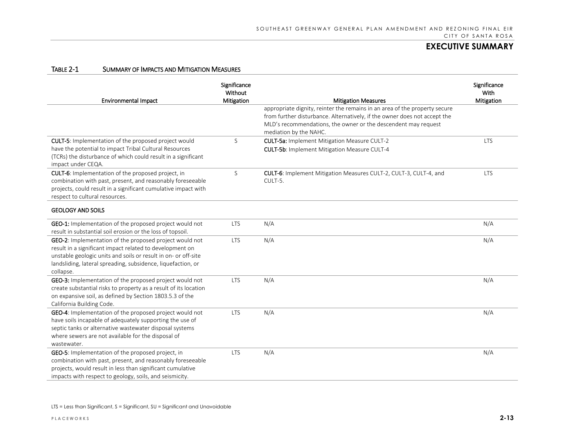| <b>Environmental Impact</b>                                                                                                                                                                                                                                        | Significance<br>Without<br>Mitigation | <b>Mitigation Measures</b>                                                                                                                                                                                                                          | Significance<br>With<br>Mitigation |
|--------------------------------------------------------------------------------------------------------------------------------------------------------------------------------------------------------------------------------------------------------------------|---------------------------------------|-----------------------------------------------------------------------------------------------------------------------------------------------------------------------------------------------------------------------------------------------------|------------------------------------|
|                                                                                                                                                                                                                                                                    |                                       | appropriate dignity, reinter the remains in an area of the property secure<br>from further disturbance. Alternatively, if the owner does not accept the<br>MLD's recommendations, the owner or the descendent may request<br>mediation by the NAHC. |                                    |
| <b>CULT-5:</b> Implementation of the proposed project would<br>have the potential to impact Tribal Cultural Resources<br>(TCRs) the disturbance of which could result in a significant<br>impact under CEQA.                                                       | S                                     | CULT-5a: Implement Mitigation Measure CULT-2<br><b>CULT-5b: Implement Mitigation Measure CULT-4</b>                                                                                                                                                 | <b>LTS</b>                         |
| CULT-6: Implementation of the proposed project, in<br>combination with past, present, and reasonably foreseeable<br>projects, could result in a significant cumulative impact with<br>respect to cultural resources.                                               | S                                     | CULT-6: Implement Mitigation Measures CULT-2, CULT-3, CULT-4, and<br>CULT-5.                                                                                                                                                                        | <b>LTS</b>                         |
| <b>GEOLOGY AND SOILS</b>                                                                                                                                                                                                                                           |                                       |                                                                                                                                                                                                                                                     |                                    |
| <b>GEO-1:</b> Implementation of the proposed project would not<br>result in substantial soil erosion or the loss of topsoil.                                                                                                                                       | <b>LTS</b>                            | N/A                                                                                                                                                                                                                                                 | N/A                                |
| GEO-2: Implementation of the proposed project would not<br>result in a significant impact related to development on<br>unstable geologic units and soils or result in on- or off-site<br>landsliding, lateral spreading, subsidence, liquefaction, or<br>collapse. | <b>LTS</b>                            | N/A                                                                                                                                                                                                                                                 | N/A                                |
| GEO-3: Implementation of the proposed project would not<br>create substantial risks to property as a result of its location<br>on expansive soil, as defined by Section 1803.5.3 of the<br>California Building Code.                                               | <b>LTS</b>                            | N/A                                                                                                                                                                                                                                                 | N/A                                |
| GEO-4: Implementation of the proposed project would not<br>have soils incapable of adequately supporting the use of<br>septic tanks or alternative wastewater disposal systems<br>where sewers are not available for the disposal of<br>wastewater.                | <b>LTS</b>                            | N/A                                                                                                                                                                                                                                                 | N/A                                |
| GEO-5: Implementation of the proposed project, in<br>combination with past, present, and reasonably foreseeable<br>projects, would result in less than significant cumulative<br>impacts with respect to geology, soils, and seismicity.                           | <b>LTS</b>                            | N/A                                                                                                                                                                                                                                                 | N/A                                |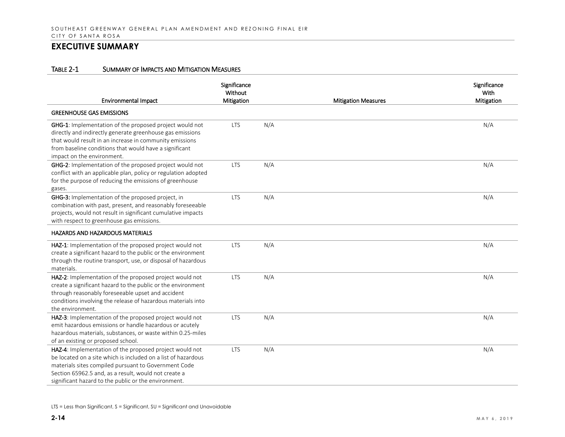| <b>Environmental Impact</b>                                                                                                                                                                                                                                                                      | Significance<br>Without<br>Mitigation |     | <b>Mitigation Measures</b> | Significance<br>With<br>Mitigation |
|--------------------------------------------------------------------------------------------------------------------------------------------------------------------------------------------------------------------------------------------------------------------------------------------------|---------------------------------------|-----|----------------------------|------------------------------------|
| <b>GREENHOUSE GAS EMISSIONS</b>                                                                                                                                                                                                                                                                  |                                       |     |                            |                                    |
| GHG-1: Implementation of the proposed project would not<br>directly and indirectly generate greenhouse gas emissions<br>that would result in an increase in community emissions<br>from baseline conditions that would have a significant<br>impact on the environment.                          | <b>LTS</b>                            | N/A |                            | N/A                                |
| GHG-2: Implementation of the proposed project would not<br>conflict with an applicable plan, policy or regulation adopted<br>for the purpose of reducing the emissions of greenhouse<br>gases.                                                                                                   | <b>LTS</b>                            | N/A |                            | N/A                                |
| GHG-3: Implementation of the proposed project, in<br>combination with past, present, and reasonably foreseeable<br>projects, would not result in significant cumulative impacts<br>with respect to greenhouse gas emissions.                                                                     | <b>LTS</b>                            | N/A |                            | N/A                                |
| <b>HAZARDS AND HAZARDOUS MATERIALS</b>                                                                                                                                                                                                                                                           |                                       |     |                            |                                    |
| HAZ-1: Implementation of the proposed project would not<br>create a significant hazard to the public or the environment<br>through the routine transport, use, or disposal of hazardous<br>materials.                                                                                            | <b>LTS</b>                            | N/A |                            | N/A                                |
| HAZ-2: Implementation of the proposed project would not<br>create a significant hazard to the public or the environment<br>through reasonably foreseeable upset and accident<br>conditions involving the release of hazardous materials into<br>the environment.                                 | <b>LTS</b>                            | N/A |                            | N/A                                |
| HAZ-3: Implementation of the proposed project would not<br>emit hazardous emissions or handle hazardous or acutely<br>hazardous materials, substances, or waste within 0.25-miles<br>of an existing or proposed school.                                                                          | <b>LTS</b>                            | N/A |                            | N/A                                |
| HAZ-4: Implementation of the proposed project would not<br>be located on a site which is included on a list of hazardous<br>materials sites compiled pursuant to Government Code<br>Section 65962.5 and, as a result, would not create a<br>significant hazard to the public or the environment. | <b>LTS</b>                            | N/A |                            | N/A                                |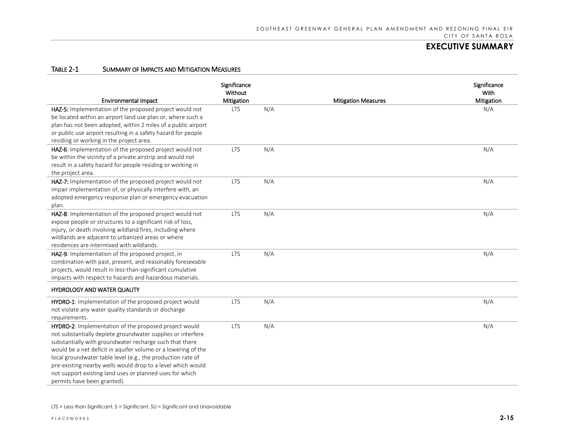| <b>Environmental Impact</b>                                                                                                                                                                                                                                                                                                                                                                                                                                               | Significance<br>Without<br>Mitigation |     | <b>Mitigation Measures</b> | Significance<br>With<br>Mitigation |
|---------------------------------------------------------------------------------------------------------------------------------------------------------------------------------------------------------------------------------------------------------------------------------------------------------------------------------------------------------------------------------------------------------------------------------------------------------------------------|---------------------------------------|-----|----------------------------|------------------------------------|
| HAZ-5: Implementation of the proposed project would not<br>be located within an airport land use plan or, where such a<br>plan has not been adopted, within 2 miles of a public airport<br>or public use airport resulting in a safety hazard for people<br>residing or working in the project area.                                                                                                                                                                      | <b>LTS</b>                            | N/A |                            | N/A                                |
| HAZ-6: Implementation of the proposed project would not<br>be within the vicinity of a private airstrip and would not<br>result in a safety hazard for people residing or working in<br>the project area.                                                                                                                                                                                                                                                                 | <b>LTS</b>                            | N/A |                            | N/A                                |
| HAZ-7: Implementation of the proposed project would not<br>impair implementation of, or physically interfere with, an<br>adopted emergency response plan or emergency evacuation<br>plan.                                                                                                                                                                                                                                                                                 | <b>LTS</b>                            | N/A |                            | N/A                                |
| HAZ-8: Implementation of the proposed project would not<br>expose people or structures to a significant risk of loss,<br>injury, or death involving wildland fires, including where<br>wildlands are adjacent to urbanized areas or where<br>residences are intermixed with wildlands.                                                                                                                                                                                    | <b>LTS</b>                            | N/A |                            | N/A                                |
| HAZ-9: Implementation of the proposed project, in<br>combination with past, present, and reasonably foreseeable<br>projects, would result in less-than-significant cumulative<br>impacts with respect to hazards and hazardous materials.                                                                                                                                                                                                                                 | <b>LTS</b>                            | N/A |                            | N/A                                |
| HYDROLOGY AND WATER QUALITY                                                                                                                                                                                                                                                                                                                                                                                                                                               |                                       |     |                            |                                    |
| HYDRO-1: Implementation of the proposed project would<br>not violate any water quality standards or discharge<br>requirements.                                                                                                                                                                                                                                                                                                                                            | <b>LTS</b>                            | N/A |                            | N/A                                |
| HYDRO-2: Implementation of the proposed project would<br>not substantially deplete groundwater supplies or interfere<br>substantially with groundwater recharge such that there<br>would be a net deficit in aquifer volume or a lowering of the<br>local groundwater table level (e.g., the production rate of<br>pre-existing nearby wells would drop to a level which would<br>not support existing land uses or planned uses for which<br>permits have been granted). | <b>LTS</b>                            | N/A |                            | N/A                                |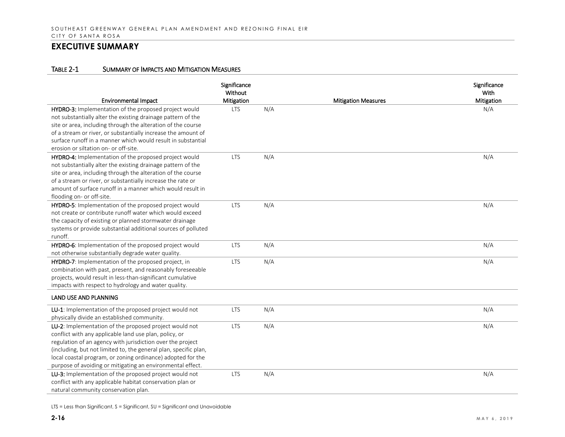### TABLE 2-1 SUMMARY OF IMPACTS AND MITIGATION MEASURES

| <b>Environmental Impact</b>                                      | Significance<br>Without<br>Mitigation |     | <b>Mitigation Measures</b> | Significance<br>With<br>Mitigation |
|------------------------------------------------------------------|---------------------------------------|-----|----------------------------|------------------------------------|
| HYDRO-3: Implementation of the proposed project would            | <b>LTS</b>                            | N/A |                            | N/A                                |
| not substantially alter the existing drainage pattern of the     |                                       |     |                            |                                    |
| site or area, including through the alteration of the course     |                                       |     |                            |                                    |
| of a stream or river, or substantially increase the amount of    |                                       |     |                            |                                    |
| surface runoff in a manner which would result in substantial     |                                       |     |                            |                                    |
| erosion or siltation on- or off-site.                            |                                       |     |                            |                                    |
| HYDRO-4: Implementation of the proposed project would            | <b>LTS</b>                            | N/A |                            | N/A                                |
| not substantially alter the existing drainage pattern of the     |                                       |     |                            |                                    |
| site or area, including through the alteration of the course     |                                       |     |                            |                                    |
| of a stream or river, or substantially increase the rate or      |                                       |     |                            |                                    |
| amount of surface runoff in a manner which would result in       |                                       |     |                            |                                    |
| flooding on- or off-site.                                        |                                       |     |                            |                                    |
| HYDRO-5: Implementation of the proposed project would            | <b>LTS</b>                            | N/A |                            | N/A                                |
| not create or contribute runoff water which would exceed         |                                       |     |                            |                                    |
| the capacity of existing or planned stormwater drainage          |                                       |     |                            |                                    |
| systems or provide substantial additional sources of polluted    |                                       |     |                            |                                    |
| runoff.                                                          |                                       |     |                            |                                    |
| HYDRO-6: Implementation of the proposed project would            | <b>LTS</b>                            | N/A |                            | N/A                                |
| not otherwise substantially degrade water quality.               |                                       |     |                            |                                    |
| HYDRO-7: Implementation of the proposed project, in              | <b>LTS</b>                            | N/A |                            | N/A                                |
| combination with past, present, and reasonably foreseeable       |                                       |     |                            |                                    |
| projects, would result in less-than-significant cumulative       |                                       |     |                            |                                    |
| impacts with respect to hydrology and water quality.             |                                       |     |                            |                                    |
| <b>LAND USE AND PLANNING</b>                                     |                                       |     |                            |                                    |
| LU-1: Implementation of the proposed project would not           | <b>LTS</b>                            | N/A |                            | N/A                                |
| physically divide an established community.                      |                                       |     |                            |                                    |
| LU-2: Implementation of the proposed project would not           | <b>LTS</b>                            | N/A |                            | N/A                                |
| conflict with any applicable land use plan, policy, or           |                                       |     |                            |                                    |
| regulation of an agency with jurisdiction over the project       |                                       |     |                            |                                    |
| (including, but not limited to, the general plan, specific plan, |                                       |     |                            |                                    |
| local coastal program, or zoning ordinance) adopted for the      |                                       |     |                            |                                    |
| purpose of avoiding or mitigating an environmental effect.       |                                       |     |                            |                                    |
| LU-3: Implementation of the proposed project would not           | <b>LTS</b>                            | N/A |                            | N/A                                |
| conflict with any applicable habitat conservation plan or        |                                       |     |                            |                                    |
| natural community conservation plan.                             |                                       |     |                            |                                    |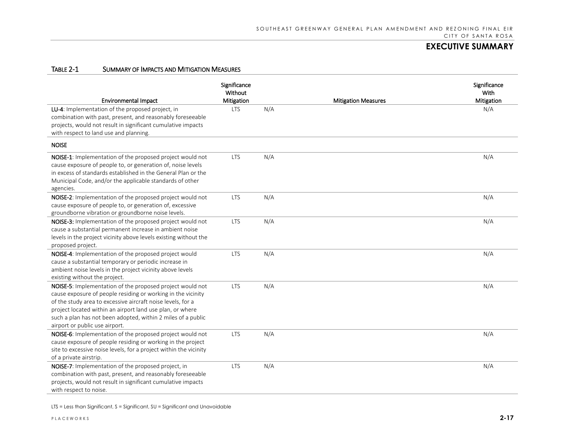### TABLE 2-1 SUMMARY OF IMPACTS AND MITIGATION MEASURES

| <b>Environmental Impact</b>                                                                                                                                                                                                                                                                                                                             | Significance<br>Without<br>Mitigation |     | <b>Mitigation Measures</b> | Significance<br>With<br>Mitigation |
|---------------------------------------------------------------------------------------------------------------------------------------------------------------------------------------------------------------------------------------------------------------------------------------------------------------------------------------------------------|---------------------------------------|-----|----------------------------|------------------------------------|
| LU-4: Implementation of the proposed project, in<br>combination with past, present, and reasonably foreseeable<br>projects, would not result in significant cumulative impacts<br>with respect to land use and planning.                                                                                                                                | <b>LTS</b>                            | N/A |                            | N/A                                |
| <b>NOISE</b>                                                                                                                                                                                                                                                                                                                                            |                                       |     |                            |                                    |
| NOISE-1: Implementation of the proposed project would not<br>cause exposure of people to, or generation of, noise levels<br>in excess of standards established in the General Plan or the<br>Municipal Code, and/or the applicable standards of other<br>agencies.                                                                                      | <b>LTS</b>                            | N/A |                            | N/A                                |
| NOISE-2: Implementation of the proposed project would not<br>cause exposure of people to, or generation of, excessive<br>groundborne vibration or groundborne noise levels.                                                                                                                                                                             | <b>LTS</b>                            | N/A |                            | N/A                                |
| NOISE-3: Implementation of the proposed project would not<br>cause a substantial permanent increase in ambient noise<br>levels in the project vicinity above levels existing without the<br>proposed project.                                                                                                                                           | <b>LTS</b>                            | N/A |                            | N/A                                |
| NOISE-4: Implementation of the proposed project would<br>cause a substantial temporary or periodic increase in<br>ambient noise levels in the project vicinity above levels<br>existing without the project.                                                                                                                                            | <b>LTS</b>                            | N/A |                            | N/A                                |
| NOISE-5: Implementation of the proposed project would not<br>cause exposure of people residing or working in the vicinity<br>of the study area to excessive aircraft noise levels, for a<br>project located within an airport land use plan, or where<br>such a plan has not been adopted, within 2 miles of a public<br>airport or public use airport. | <b>LTS</b>                            | N/A |                            | N/A                                |
| NOISE-6: Implementation of the proposed project would not<br>cause exposure of people residing or working in the project<br>site to excessive noise levels, for a project within the vicinity<br>of a private airstrip.                                                                                                                                 | <b>LTS</b>                            | N/A |                            | N/A                                |
| NOISE-7: Implementation of the proposed project, in<br>combination with past, present, and reasonably foreseeable<br>projects, would not result in significant cumulative impacts<br>with respect to noise.                                                                                                                                             | <b>LTS</b>                            | N/A |                            | N/A                                |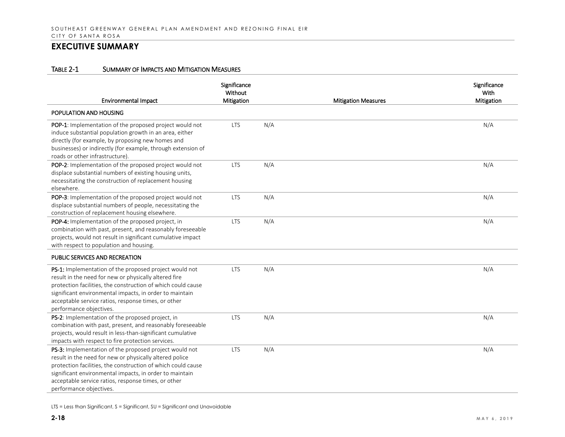#### TABLE 2-1 SUMMARY OF IMPACTS AND MITIGATION MEASURES

| <b>Environmental Impact</b>                                                                                                                                                                                                                                                                                                    | Significance<br>Without<br>Mitigation |     | <b>Mitigation Measures</b> | Significance<br>With<br>Mitigation |
|--------------------------------------------------------------------------------------------------------------------------------------------------------------------------------------------------------------------------------------------------------------------------------------------------------------------------------|---------------------------------------|-----|----------------------------|------------------------------------|
| POPULATION AND HOUSING                                                                                                                                                                                                                                                                                                         |                                       |     |                            |                                    |
| POP-1: Implementation of the proposed project would not<br>induce substantial population growth in an area, either<br>directly (for example, by proposing new homes and<br>businesses) or indirectly (for example, through extension of<br>roads or other infrastructure).                                                     | <b>LTS</b>                            | N/A |                            | N/A                                |
| POP-2: Implementation of the proposed project would not<br>displace substantial numbers of existing housing units,<br>necessitating the construction of replacement housing<br>elsewhere.                                                                                                                                      | <b>LTS</b>                            | N/A |                            | N/A                                |
| POP-3: Implementation of the proposed project would not<br>displace substantial numbers of people, necessitating the<br>construction of replacement housing elsewhere.                                                                                                                                                         | <b>LTS</b>                            | N/A |                            | N/A                                |
| POP-4: Implementation of the proposed project, in<br>combination with past, present, and reasonably foreseeable<br>projects, would not result in significant cumulative impact<br>with respect to population and housing.                                                                                                      | <b>LTS</b>                            | N/A |                            | N/A                                |
| <b>PUBLIC SERVICES AND RECREATION</b>                                                                                                                                                                                                                                                                                          |                                       |     |                            |                                    |
| PS-1: Implementation of the proposed project would not<br>result in the need for new or physically altered fire<br>protection facilities, the construction of which could cause<br>significant environmental impacts, in order to maintain<br>acceptable service ratios, response times, or other<br>performance objectives.   | <b>LTS</b>                            | N/A |                            | N/A                                |
| PS-2: Implementation of the proposed project, in<br>combination with past, present, and reasonably foreseeable<br>projects, would result in less-than-significant cumulative<br>impacts with respect to fire protection services.                                                                                              | <b>LTS</b>                            | N/A |                            | N/A                                |
| PS-3: Implementation of the proposed project would not<br>result in the need for new or physically altered police<br>protection facilities, the construction of which could cause<br>significant environmental impacts, in order to maintain<br>acceptable service ratios, response times, or other<br>performance objectives. | <b>LTS</b>                            | N/A |                            | N/A                                |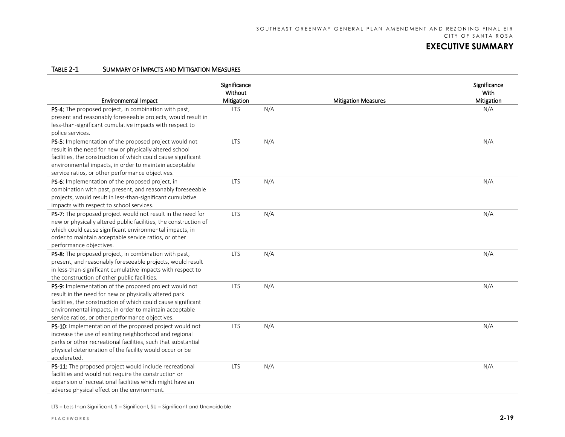### TABLE 2-1 SUMMARY OF IMPACTS AND MITIGATION MEASURES

| <b>Environmental Impact</b>                                                                                                                                                                                                                                                                      | Significance<br>Without<br>Mitigation |     | <b>Mitigation Measures</b> | Significance<br>With<br>Mitigation |
|--------------------------------------------------------------------------------------------------------------------------------------------------------------------------------------------------------------------------------------------------------------------------------------------------|---------------------------------------|-----|----------------------------|------------------------------------|
| PS-4: The proposed project, in combination with past,<br>present and reasonably foreseeable projects, would result in<br>less-than-significant cumulative impacts with respect to<br>police services.                                                                                            | <b>LTS</b>                            | N/A |                            | N/A                                |
| PS-5: Implementation of the proposed project would not<br>result in the need for new or physically altered school<br>facilities, the construction of which could cause significant<br>environmental impacts, in order to maintain acceptable<br>service ratios, or other performance objectives. | <b>LTS</b>                            | N/A |                            | N/A                                |
| PS-6: Implementation of the proposed project, in<br>combination with past, present, and reasonably foreseeable<br>projects, would result in less-than-significant cumulative<br>impacts with respect to school services.                                                                         | <b>LTS</b>                            | N/A |                            | N/A                                |
| PS-7: The proposed project would not result in the need for<br>new or physically altered public facilities, the construction of<br>which could cause significant environmental impacts, in<br>order to maintain acceptable service ratios, or other<br>performance objectives.                   | <b>LTS</b>                            | N/A |                            | N/A                                |
| PS-8: The proposed project, in combination with past,<br>present, and reasonably foreseeable projects, would result<br>in less-than-significant cumulative impacts with respect to<br>the construction of other public facilities.                                                               | <b>LTS</b>                            | N/A |                            | N/A                                |
| PS-9: Implementation of the proposed project would not<br>result in the need for new or physically altered park<br>facilities, the construction of which could cause significant<br>environmental impacts, in order to maintain acceptable<br>service ratios, or other performance objectives.   | <b>LTS</b>                            | N/A |                            | N/A                                |
| PS-10: Implementation of the proposed project would not<br>increase the use of existing neighborhood and regional<br>parks or other recreational facilities, such that substantial<br>physical deterioration of the facility would occur or be<br>accelerated.                                   | <b>LTS</b>                            | N/A |                            | N/A                                |
| PS-11: The proposed project would include recreational<br>facilities and would not require the construction or<br>expansion of recreational facilities which might have an<br>adverse physical effect on the environment.                                                                        | <b>LTS</b>                            | N/A |                            | N/A                                |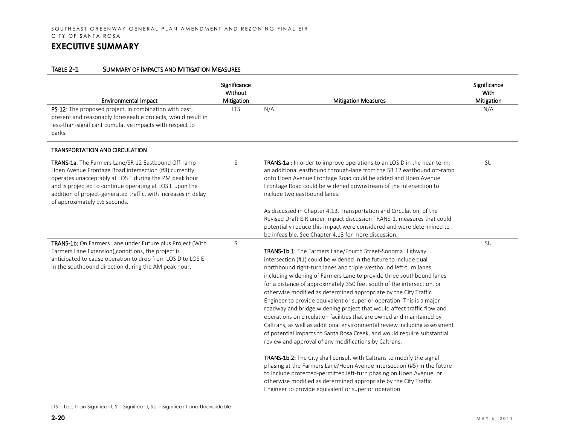| <b>Environmental Impact</b>                                                                                                                                                                                                                                                                                                            | Significance<br>Without<br>Mitigation | <b>Mitigation Measures</b>                                                                                                                                                                                                                                                                                                                                                                                                                                                                                                                                                                                                                                                                                                                                                                                                                                            | Significance<br>With<br>Mitigation |
|----------------------------------------------------------------------------------------------------------------------------------------------------------------------------------------------------------------------------------------------------------------------------------------------------------------------------------------|---------------------------------------|-----------------------------------------------------------------------------------------------------------------------------------------------------------------------------------------------------------------------------------------------------------------------------------------------------------------------------------------------------------------------------------------------------------------------------------------------------------------------------------------------------------------------------------------------------------------------------------------------------------------------------------------------------------------------------------------------------------------------------------------------------------------------------------------------------------------------------------------------------------------------|------------------------------------|
| PS-12: The proposed project, in combination with past,<br>present and reasonably foreseeable projects, would result in<br>less-than-significant cumulative impacts with respect to<br>parks.                                                                                                                                           | <b>LTS</b>                            | N/A                                                                                                                                                                                                                                                                                                                                                                                                                                                                                                                                                                                                                                                                                                                                                                                                                                                                   | N/A                                |
| <b>TRANSPORTATION AND CIRCULATION</b>                                                                                                                                                                                                                                                                                                  |                                       |                                                                                                                                                                                                                                                                                                                                                                                                                                                                                                                                                                                                                                                                                                                                                                                                                                                                       |                                    |
| TRANS-1a: The Farmers Lane/SR 12 Eastbound Off-ramp-<br>Hoen Avenue Frontage Road intersection (#8) currently<br>operates unacceptably at LOS E during the PM peak hour<br>and is projected to continue operating at LOS E upon the<br>addition of project-generated traffic, with increases in delay<br>of approximately 9.6 seconds. | S                                     | <b>TRANS-1a</b> : In order to improve operations to an LOS D in the near-term,<br>an additional eastbound through-lane from the SR 12 eastbound off-ramp<br>onto Hoen Avenue Frontage Road could be added and Hoen Avenue<br>Frontage Road could be widened downstream of the intersection to<br>include two eastbound lanes.                                                                                                                                                                                                                                                                                                                                                                                                                                                                                                                                         | SU                                 |
|                                                                                                                                                                                                                                                                                                                                        |                                       | As discussed in Chapter 4.13, Transportation and Circulation, of the<br>Revised Draft EIR under impact discussion TRANS-1, measures that could<br>potentially reduce this impact were considered and were determined to<br>be infeasible. See Chapter 4.13 for more discussion.                                                                                                                                                                                                                                                                                                                                                                                                                                                                                                                                                                                       |                                    |
| TRANS-1b: On Farmers Lane under Future plus Project (With<br>Farmers Lane Extension) conditions, the project is<br>anticipated to cause operation to drop from LOS D to LOS E<br>in the southbound direction during the AM peak hour.                                                                                                  | S                                     | TRANS-1b.1: The Farmers Lane/Fourth Street-Sonoma Highway<br>intersection (#1) could be widened in the future to include dual<br>northbound right-turn lanes and triple westbound left-turn lanes,<br>including widening of Farmers Lane to provide three southbound lanes<br>for a distance of approximately 350 feet south of the intersection, or<br>otherwise modified as determined appropriate by the City Traffic<br>Engineer to provide equivalent or superior operation. This is a major<br>roadway and bridge widening project that would affect traffic flow and<br>operations on circulation facilities that are owned and maintained by<br>Caltrans, as well as additional environmental review including assessment<br>of potential impacts to Santa Rosa Creek, and would require substantial<br>review and approval of any modifications by Caltrans. | SU                                 |
|                                                                                                                                                                                                                                                                                                                                        |                                       | TRANS-1b.2: The City shall consult with Caltrans to modify the signal<br>phasing at the Farmers Lane/Hoen Avenue intersection (#5) in the future<br>to include protected-permitted left-turn phasing on Hoen Avenue, or<br>otherwise modified as determined appropriate by the City Traffic<br>Engineer to provide equivalent or superior operation.                                                                                                                                                                                                                                                                                                                                                                                                                                                                                                                  |                                    |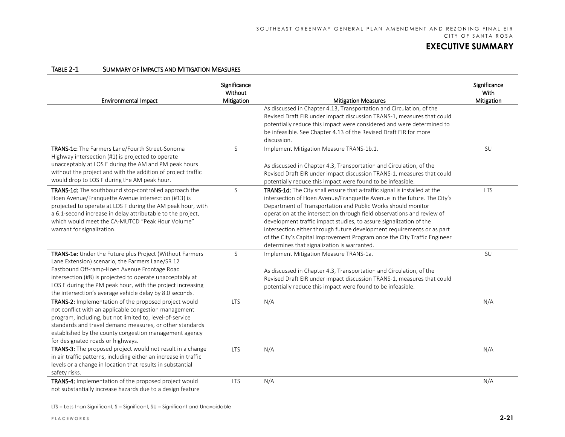| Table 2-1 | SUMMARY OF IMPACTS AND MITIGATION MEASURES |  |
|-----------|--------------------------------------------|--|
|           |                                            |  |

| <b>Environmental Impact</b>                                                                                                                                                                                                                                                                                                                         | Significance<br>Without<br>Mitigation | <b>Mitigation Measures</b>                                                                                                                                                                                                                                                                                                                                                                                                                                                                                                                                                | Significance<br>With<br>Mitigation |  |
|-----------------------------------------------------------------------------------------------------------------------------------------------------------------------------------------------------------------------------------------------------------------------------------------------------------------------------------------------------|---------------------------------------|---------------------------------------------------------------------------------------------------------------------------------------------------------------------------------------------------------------------------------------------------------------------------------------------------------------------------------------------------------------------------------------------------------------------------------------------------------------------------------------------------------------------------------------------------------------------------|------------------------------------|--|
|                                                                                                                                                                                                                                                                                                                                                     |                                       | As discussed in Chapter 4.13, Transportation and Circulation, of the<br>Revised Draft EIR under impact discussion TRANS-1, measures that could<br>potentially reduce this impact were considered and were determined to<br>be infeasible. See Chapter 4.13 of the Revised Draft EIR for more<br>discussion.                                                                                                                                                                                                                                                               |                                    |  |
| TRANS-1c: The Farmers Lane/Fourth Street-Sonoma<br>Highway intersection (#1) is projected to operate<br>unacceptably at LOS E during the AM and PM peak hours<br>without the project and with the addition of project traffic<br>would drop to LOS F during the AM peak hour.                                                                       | S                                     | Implement Mitigation Measure TRANS-1b.1.<br>As discussed in Chapter 4.3, Transportation and Circulation, of the<br>Revised Draft EIR under impact discussion TRANS-1, measures that could<br>potentially reduce this impact were found to be infeasible.                                                                                                                                                                                                                                                                                                                  | SU                                 |  |
| TRANS-1d: The southbound stop-controlled approach the<br>Hoen Avenue/Franquette Avenue intersection (#13) is<br>projected to operate at LOS F during the AM peak hour, with<br>a 6.1-second increase in delay attributable to the project,<br>which would meet the CA-MUTCD "Peak Hour Volume"<br>warrant for signalization.                        | S                                     | TRANS-1d: The City shall ensure that a-traffic signal is installed at the<br>intersection of Hoen Avenue/Franquette Avenue in the future. The City's<br>Department of Transportation and Public Works should monitor<br>operation at the intersection through field observations and review of<br>development traffic impact studies, to assure signalization of the<br>intersection either through future development requirements or as part<br>of the City's Capital Improvement Program once the City Traffic Engineer<br>determines that signalization is warranted. | <b>LTS</b>                         |  |
| TRANS-1e: Under the Future plus Project (Without Farmers<br>Lane Extension) scenario, the Farmers Lane/SR 12<br>Eastbound Off-ramp-Hoen Avenue Frontage Road<br>intersection (#8) is projected to operate unacceptably at<br>LOS E during the PM peak hour, with the project increasing<br>the intersection's average vehicle delay by 8.0 seconds. | S                                     | Implement Mitigation Measure TRANS-1a.<br>As discussed in Chapter 4.3, Transportation and Circulation, of the<br>Revised Draft EIR under impact discussion TRANS-1, measures that could<br>potentially reduce this impact were found to be infeasible.                                                                                                                                                                                                                                                                                                                    | SU                                 |  |
| TRANS-2: Implementation of the proposed project would<br>not conflict with an applicable congestion management<br>program, including, but not limited to, level-of-service<br>standards and travel demand measures, or other standards<br>established by the county congestion management agency<br>for designated roads or highways.               | <b>LTS</b>                            | N/A                                                                                                                                                                                                                                                                                                                                                                                                                                                                                                                                                                       | N/A                                |  |
| TRANS-3: The proposed project would not result in a change<br>in air traffic patterns, including either an increase in traffic<br>levels or a change in location that results in substantial<br>safety risks.                                                                                                                                       | <b>LTS</b>                            | N/A                                                                                                                                                                                                                                                                                                                                                                                                                                                                                                                                                                       | N/A                                |  |
| TRANS-4: Implementation of the proposed project would<br>not substantially increase hazards due to a design feature                                                                                                                                                                                                                                 | <b>LTS</b>                            | N/A                                                                                                                                                                                                                                                                                                                                                                                                                                                                                                                                                                       | N/A                                |  |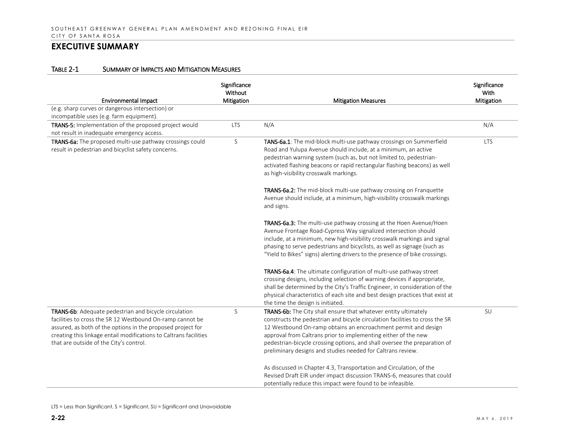| <b>Environmental Impact</b>                                                                                                                                                                                                                                                                       | Significance<br>Without<br>Mitigation | <b>Mitigation Measures</b>                                                                                                                                                                                                                                                                                                                                                                                                      | Significance<br>With<br>Mitigation |
|---------------------------------------------------------------------------------------------------------------------------------------------------------------------------------------------------------------------------------------------------------------------------------------------------|---------------------------------------|---------------------------------------------------------------------------------------------------------------------------------------------------------------------------------------------------------------------------------------------------------------------------------------------------------------------------------------------------------------------------------------------------------------------------------|------------------------------------|
| (e.g. sharp curves or dangerous intersection) or                                                                                                                                                                                                                                                  |                                       |                                                                                                                                                                                                                                                                                                                                                                                                                                 |                                    |
| incompatible uses (e.g. farm equipment).                                                                                                                                                                                                                                                          |                                       |                                                                                                                                                                                                                                                                                                                                                                                                                                 |                                    |
| TRANS-5: Implementation of the proposed project would<br>not result in inadequate emergency access.                                                                                                                                                                                               | <b>LTS</b>                            | N/A                                                                                                                                                                                                                                                                                                                                                                                                                             | N/A                                |
| TRANS-6a: The proposed multi-use pathway crossings could<br>result in pedestrian and bicyclist safety concerns.                                                                                                                                                                                   | S                                     | TANS-6a.1: The mid-block multi-use pathway crossings on Summerfield<br>Road and Yulupa Avenue should include, at a minimum, an active<br>pedestrian warning system (such as, but not limited to, pedestrian-<br>activated flashing beacons or rapid rectangular flashing beacons) as well<br>as high-visibility crosswalk markings.                                                                                             | <b>LTS</b>                         |
|                                                                                                                                                                                                                                                                                                   |                                       | TRANS-6a.2: The mid-block multi-use pathway crossing on Franquette<br>Avenue should include, at a minimum, high-visibility crosswalk markings<br>and signs.                                                                                                                                                                                                                                                                     |                                    |
|                                                                                                                                                                                                                                                                                                   |                                       | TRANS-6a.3: The multi-use pathway crossing at the Hoen Avenue/Hoen<br>Avenue Frontage Road-Cypress Way signalized intersection should<br>include, at a minimum, new high-visibility crosswalk markings and signal<br>phasing to serve pedestrians and bicyclists, as well as signage (such as<br>"Yield to Bikes" signs) alerting drivers to the presence of bike crossings.                                                    |                                    |
|                                                                                                                                                                                                                                                                                                   |                                       | TRANS-6a.4: The ultimate configuration of multi-use pathway street<br>crossing designs, including selection of warning devices if appropriate,<br>shall be determined by the City's Traffic Engineer, in consideration of the<br>physical characteristics of each site and best design practices that exist at<br>the time the design is initiated.                                                                             |                                    |
| TRANS-6b: Adequate pedestrian and bicycle circulation<br>facilities to cross the SR 12 Westbound On-ramp cannot be<br>assured, as both of the options in the proposed project for<br>creating this linkage entail modifications to Caltrans facilities<br>that are outside of the City's control. | S                                     | TRANS-6b: The City shall ensure that whatever entity ultimately<br>constructs the pedestrian and bicycle circulation facilities to cross the SR<br>12 Westbound On-ramp obtains an encroachment permit and design<br>approval from Caltrans prior to implementing either of the new<br>pedestrian-bicycle crossing options, and shall oversee the preparation of<br>preliminary designs and studies needed for Caltrans review. | SU                                 |
|                                                                                                                                                                                                                                                                                                   |                                       | As discussed in Chapter 4.3, Transportation and Circulation, of the<br>Revised Draft EIR under impact discussion TRANS-6, measures that could<br>potentially reduce this impact were found to be infeasible.                                                                                                                                                                                                                    |                                    |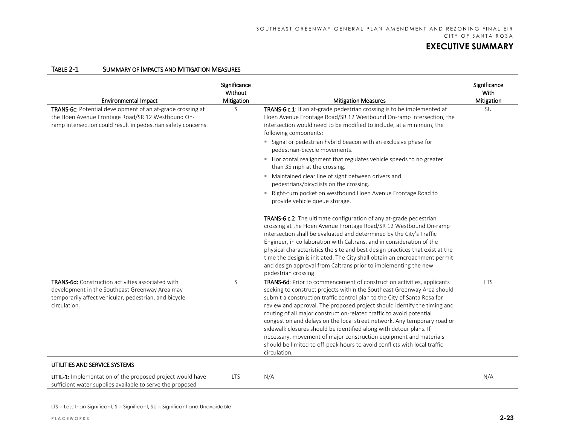| <b>Environmental Impact</b>                                                                                                                                                         | Significance<br>Without<br>Mitigation | <b>Mitigation Measures</b>                                                                                                                                                                                                                                                                                                                                                                                                                                                                                                                                                                                                                                                                            | Significance<br>With<br>Mitigation |  |
|-------------------------------------------------------------------------------------------------------------------------------------------------------------------------------------|---------------------------------------|-------------------------------------------------------------------------------------------------------------------------------------------------------------------------------------------------------------------------------------------------------------------------------------------------------------------------------------------------------------------------------------------------------------------------------------------------------------------------------------------------------------------------------------------------------------------------------------------------------------------------------------------------------------------------------------------------------|------------------------------------|--|
| TRANS-6c: Potential development of an at-grade crossing at<br>the Hoen Avenue Frontage Road/SR 12 Westbound On-<br>ramp intersection could result in pedestrian safety concerns.    | S                                     | TRANS-6-c.1: If an at-grade pedestrian crossing is to be implemented at<br>Hoen Avenue Frontage Road/SR 12 Westbound On-ramp intersection, the<br>intersection would need to be modified to include, at a minimum, the<br>following components:                                                                                                                                                                                                                                                                                                                                                                                                                                                       | SU                                 |  |
|                                                                                                                                                                                     |                                       | " Signal or pedestrian hybrid beacon with an exclusive phase for<br>pedestrian-bicycle movements.                                                                                                                                                                                                                                                                                                                                                                                                                                                                                                                                                                                                     |                                    |  |
|                                                                                                                                                                                     |                                       | Horizontal realignment that regulates vehicle speeds to no greater<br>than 35 mph at the crossing.                                                                                                                                                                                                                                                                                                                                                                                                                                                                                                                                                                                                    |                                    |  |
|                                                                                                                                                                                     |                                       | " Maintained clear line of sight between drivers and<br>pedestrians/bicyclists on the crossing.                                                                                                                                                                                                                                                                                                                                                                                                                                                                                                                                                                                                       |                                    |  |
|                                                                                                                                                                                     |                                       | " Right-turn pocket on westbound Hoen Avenue Frontage Road to<br>provide vehicle queue storage.                                                                                                                                                                                                                                                                                                                                                                                                                                                                                                                                                                                                       |                                    |  |
|                                                                                                                                                                                     |                                       | TRANS-6-c.2: The ultimate configuration of any at-grade pedestrian<br>crossing at the Hoen Avenue Frontage Road/SR 12 Westbound On-ramp<br>intersection shall be evaluated and determined by the City's Traffic<br>Engineer, in collaboration with Caltrans, and in consideration of the<br>physical characteristics the site and best design practices that exist at the<br>time the design is initiated. The City shall obtain an encroachment permit<br>and design approval from Caltrans prior to implementing the new<br>pedestrian crossing.                                                                                                                                                    |                                    |  |
| <b>TRANS-6d:</b> Construction activities associated with<br>development in the Southeast Greenway Area may<br>temporarily affect vehicular, pedestrian, and bicycle<br>circulation. | S                                     | TRANS-6d: Prior to commencement of construction activities, applicants<br>seeking to construct projects within the Southeast Greenway Area should<br>submit a construction traffic control plan to the City of Santa Rosa for<br>review and approval. The proposed project should identify the timing and<br>routing of all major construction-related traffic to avoid potential<br>congestion and delays on the local street network. Any temporary road or<br>sidewalk closures should be identified along with detour plans. If<br>necessary, movement of major construction equipment and materials<br>should be limited to off-peak hours to avoid conflicts with local traffic<br>circulation. | <b>LTS</b>                         |  |
| UTILITIES AND SERVICE SYSTEMS                                                                                                                                                       |                                       |                                                                                                                                                                                                                                                                                                                                                                                                                                                                                                                                                                                                                                                                                                       |                                    |  |
| UTIL-1: Implementation of the proposed project would have<br>sufficient water supplies available to serve the proposed                                                              | <b>LTS</b>                            | N/A                                                                                                                                                                                                                                                                                                                                                                                                                                                                                                                                                                                                                                                                                                   | N/A                                |  |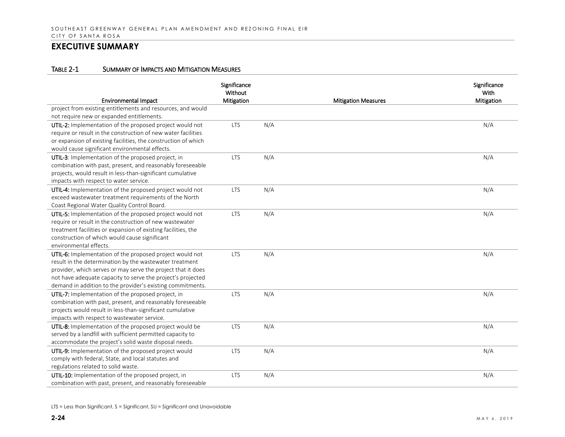| <b>Environmental Impact</b>                                                                                                                                                                                                                                                                                      | Significance<br>Without<br>Mitigation |     | <b>Mitigation Measures</b> | Significance<br>With<br>Mitigation |
|------------------------------------------------------------------------------------------------------------------------------------------------------------------------------------------------------------------------------------------------------------------------------------------------------------------|---------------------------------------|-----|----------------------------|------------------------------------|
| project from existing entitlements and resources, and would<br>not require new or expanded entitlements.                                                                                                                                                                                                         |                                       |     |                            |                                    |
| UTIL-2: Implementation of the proposed project would not<br>require or result in the construction of new water facilities<br>or expansion of existing facilities, the construction of which<br>would cause significant environmental effects.                                                                    | <b>LTS</b>                            | N/A |                            | N/A                                |
| UTIL-3: Implementation of the proposed project, in<br>combination with past, present, and reasonably foreseeable<br>projects, would result in less-than-significant cumulative<br>impacts with respect to water service.                                                                                         | <b>LTS</b>                            | N/A |                            | N/A                                |
| UTIL-4: Implementation of the proposed project would not<br>exceed wastewater treatment requirements of the North<br>Coast Regional Water Quality Control Board.                                                                                                                                                 | <b>LTS</b>                            | N/A |                            | N/A                                |
| UTIL-5: Implementation of the proposed project would not<br>require or result in the construction of new wastewater<br>treatment facilities or expansion of existing facilities, the<br>construction of which would cause significant<br>environmental effects.                                                  | <b>LTS</b>                            | N/A |                            | N/A                                |
| UTIL-6: Implementation of the proposed project would not<br>result in the determination by the wastewater treatment<br>provider, which serves or may serve the project that it does<br>not have adequate capacity to serve the project's projected<br>demand in addition to the provider's existing commitments. | <b>LTS</b>                            | N/A |                            | N/A                                |
| UTIL-7: Implementation of the proposed project, in<br>combination with past, present, and reasonably foreseeable<br>projects would result in less-than-significant cumulative<br>impacts with respect to wastewater service.                                                                                     | <b>LTS</b>                            | N/A |                            | N/A                                |
| UTIL-8: Implementation of the proposed project would be<br>served by a landfill with sufficient permitted capacity to<br>accommodate the project's solid waste disposal needs.                                                                                                                                   | <b>LTS</b>                            | N/A |                            | N/A                                |
| UTIL-9: Implementation of the proposed project would<br>comply with federal, State, and local statutes and<br>regulations related to solid waste.                                                                                                                                                                | <b>LTS</b>                            | N/A |                            | N/A                                |
| UTIL-10: Implementation of the proposed project, in<br>combination with past, present, and reasonably foreseeable                                                                                                                                                                                                | <b>LTS</b>                            | N/A |                            | N/A                                |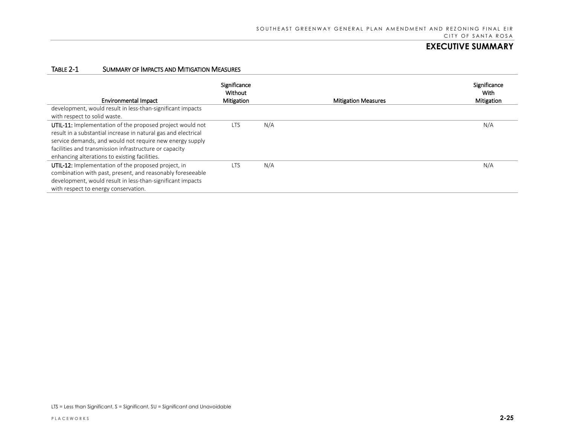| <b>Environmental Impact</b>                                                                                                                                                                                                                                                                        | Significance<br>Without<br>Mitigation |     | <b>Mitigation Measures</b> | Significance<br>With<br>Mitigation |
|----------------------------------------------------------------------------------------------------------------------------------------------------------------------------------------------------------------------------------------------------------------------------------------------------|---------------------------------------|-----|----------------------------|------------------------------------|
| development, would result in less-than-significant impacts<br>with respect to solid waste.                                                                                                                                                                                                         |                                       |     |                            |                                    |
| UTIL-11: Implementation of the proposed project would not<br>result in a substantial increase in natural gas and electrical<br>service demands, and would not require new energy supply<br>facilities and transmission infrastructure or capacity<br>enhancing alterations to existing facilities. | <b>LTS</b>                            | N/A |                            | N/A                                |
| UTIL-12: Implementation of the proposed project, in<br>combination with past, present, and reasonably foreseeable<br>development, would result in less-than-significant impacts<br>with respect to energy conservation.                                                                            | LTS                                   | N/A |                            | N/A                                |